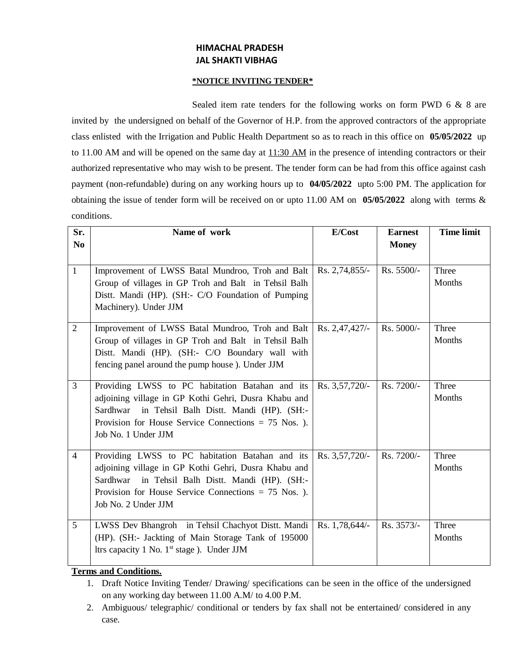# **HIMACHAL PRADESH JAL SHAKTI VIBHAG**

#### **\*NOTICE INVITING TENDER\***

Sealed item rate tenders for the following works on form PWD 6 & 8 are invited by the undersigned on behalf of the Governor of H.P. from the approved contractors of the appropriate class enlisted with the Irrigation and Public Health Department so as to reach in this office on **05/05/2022** up to 11.00 AM and will be opened on the same day at  $11:30$  AM in the presence of intending contractors or their authorized representative who may wish to be present. The tender form can be had from this office against cash payment (non-refundable) during on any working hours up to **04/05/2022** upto 5:00 PM. The application for obtaining the issue of tender form will be received on or upto 11.00 AM on **05/05/2022** along with terms & conditions.

| Sr.            | Name of work                                           | E/Cost         | <b>Earnest</b> | <b>Time limit</b> |
|----------------|--------------------------------------------------------|----------------|----------------|-------------------|
| N <sub>0</sub> |                                                        |                | <b>Money</b>   |                   |
|                |                                                        |                |                |                   |
| $\mathbf{1}$   | Improvement of LWSS Batal Mundroo, Troh and Balt       | Rs. 2,74,855/- | Rs. 5500/-     | Three             |
|                | Group of villages in GP Troh and Balt in Tehsil Balh   |                |                | Months            |
|                | Distt. Mandi (HP). (SH:- C/O Foundation of Pumping     |                |                |                   |
|                | Machinery). Under JJM                                  |                |                |                   |
| $\overline{2}$ | Improvement of LWSS Batal Mundroo, Troh and Balt       | Rs. 2,47,427/- | Rs. 5000/-     | Three             |
|                | Group of villages in GP Troh and Balt in Tehsil Balh   |                |                | Months            |
|                | Distt. Mandi (HP). (SH:- C/O Boundary wall with        |                |                |                   |
|                | fencing panel around the pump house). Under JJM        |                |                |                   |
| $\overline{3}$ | Providing LWSS to PC habitation Batahan and its        | Rs. 3,57,720/- | Rs. 7200/-     | Three             |
|                | adjoining village in GP Kothi Gehri, Dusra Khabu and   |                |                | Months            |
|                | Sardhwar in Tehsil Balh Distt. Mandi (HP). (SH:-       |                |                |                   |
|                | Provision for House Service Connections = $75$ Nos. ). |                |                |                   |
|                | Job No. 1 Under JJM                                    |                |                |                   |
| $\overline{4}$ | Providing LWSS to PC habitation Batahan and its        | Rs. 3,57,720/- | Rs. 7200/-     | Three             |
|                | adjoining village in GP Kothi Gehri, Dusra Khabu and   |                |                | Months            |
|                | in Tehsil Balh Distt. Mandi (HP). (SH:-<br>Sardhwar    |                |                |                   |
|                | Provision for House Service Connections $= 75$ Nos. ). |                |                |                   |
|                | Job No. 2 Under JJM                                    |                |                |                   |
| 5 <sup>5</sup> | LWSS Dev Bhangroh in Tehsil Chachyot Distt. Mandi      | Rs. 1,78,644/- | Rs. 3573/-     | Three             |
|                | (HP). (SH:- Jackting of Main Storage Tank of 195000    |                |                | Months            |
|                | ltrs capacity 1 No. $1st$ stage). Under JJM            |                |                |                   |
|                |                                                        |                |                |                   |

# **Terms and Conditions.**

- 1. Draft Notice Inviting Tender/ Drawing/ specifications can be seen in the office of the undersigned on any working day between 11.00 A.M/ to 4.00 P.M.
- 2. Ambiguous/ telegraphic/ conditional or tenders by fax shall not be entertained/ considered in any case.